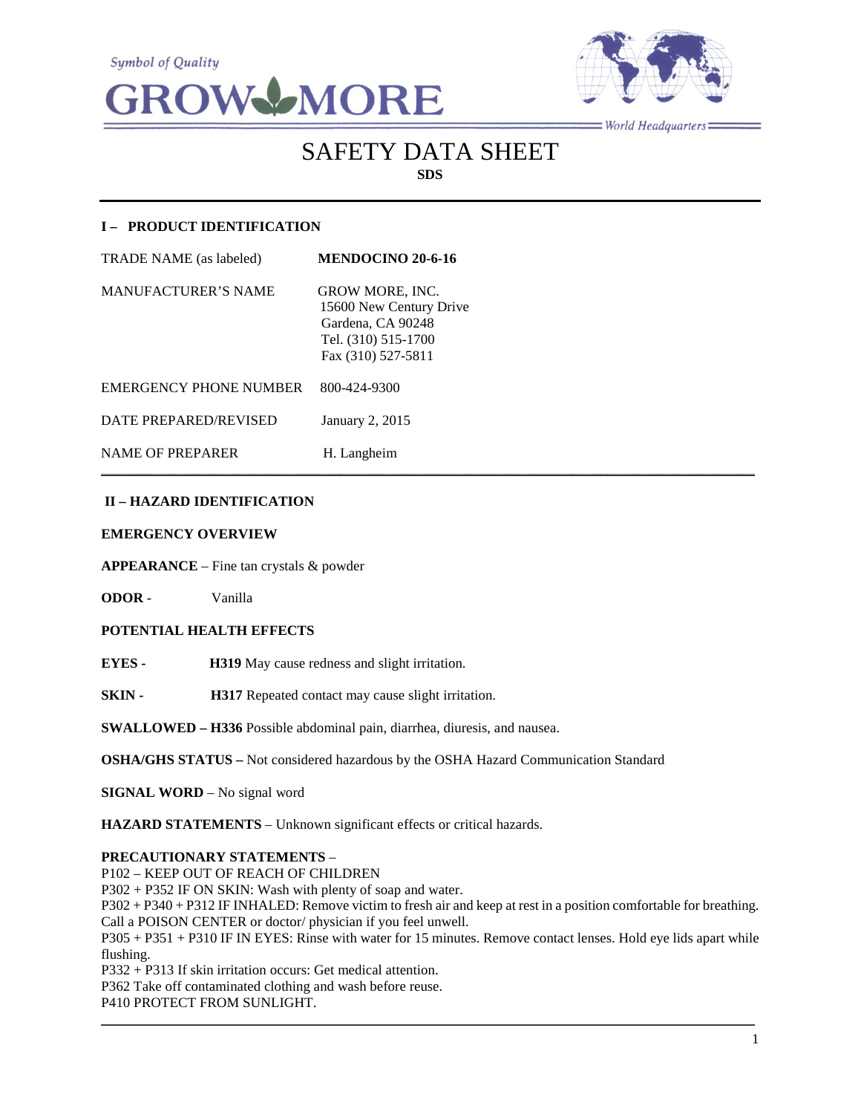



 $=$  World Headquarters $=$ 

# SAFETY DATA SHEET **SDS**

 $\mathcal{L}_\mathcal{L} = \mathcal{L}_\mathcal{L} = \mathcal{L}_\mathcal{L} = \mathcal{L}_\mathcal{L} = \mathcal{L}_\mathcal{L} = \mathcal{L}_\mathcal{L} = \mathcal{L}_\mathcal{L} = \mathcal{L}_\mathcal{L} = \mathcal{L}_\mathcal{L} = \mathcal{L}_\mathcal{L} = \mathcal{L}_\mathcal{L} = \mathcal{L}_\mathcal{L} = \mathcal{L}_\mathcal{L} = \mathcal{L}_\mathcal{L} = \mathcal{L}_\mathcal{L} = \mathcal{L}_\mathcal{L} = \mathcal{L}_\mathcal{L}$ 

# **I – PRODUCT IDENTIFICATION**

| <b>TRADE NAME</b> (as labeled) | <b>MENDOCINO 20-6-16</b>                                                                                            |
|--------------------------------|---------------------------------------------------------------------------------------------------------------------|
| <b>MANUFACTURER'S NAME</b>     | <b>GROW MORE, INC.</b><br>15600 New Century Drive<br>Gardena, CA 90248<br>Tel. (310) 515-1700<br>Fax (310) 527-5811 |
| EMERGENCY PHONE NUMBER         | 800-424-9300                                                                                                        |
| DATE PREPARED/REVISED          | January 2, 2015                                                                                                     |
| NAME OF PREPARER               | H. Langheim                                                                                                         |

## **II – HAZARD IDENTIFICATION**

#### **EMERGENCY OVERVIEW**

**APPEARANCE** – Fine tan crystals & powder

**ODOR** - Vanilla

# **POTENTIAL HEALTH EFFECTS**

**EYES - H319** May cause redness and slight irritation.

**SKIN - H317** Repeated contact may cause slight irritation.

**SWALLOWED – H336** Possible abdominal pain, diarrhea, diuresis, and nausea.

**OSHA/GHS STATUS –** Not considered hazardous by the OSHA Hazard Communication Standard

**SIGNAL WORD** – No signal word

**HAZARD STATEMENTS** – Unknown significant effects or critical hazards.

#### **PRECAUTIONARY STATEMENTS** –

P102 – KEEP OUT OF REACH OF CHILDREN

P302 + P352 IF ON SKIN: Wash with plenty of soap and water.

P302 + P340 + P312 IF INHALED: Remove victim to fresh air and keep at rest in a position comfortable for breathing. Call a POISON CENTER or doctor/ physician if you feel unwell.

P305 + P351 + P310 IF IN EYES: Rinse with water for 15 minutes. Remove contact lenses. Hold eye lids apart while flushing.

\_\_\_\_\_\_\_\_\_\_\_\_\_\_\_\_\_\_\_\_\_\_\_\_\_\_\_\_\_\_\_\_\_\_\_\_\_\_\_\_\_\_\_\_\_\_\_\_\_\_\_\_\_\_\_\_\_\_\_\_\_\_\_\_\_\_\_\_\_\_\_\_\_\_\_\_\_\_\_\_\_\_\_\_\_\_\_\_\_\_\_\_\_

P332 + P313 If skin irritation occurs: Get medical attention.

P362 Take off contaminated clothing and wash before reuse.

P410 PROTECT FROM SUNLIGHT.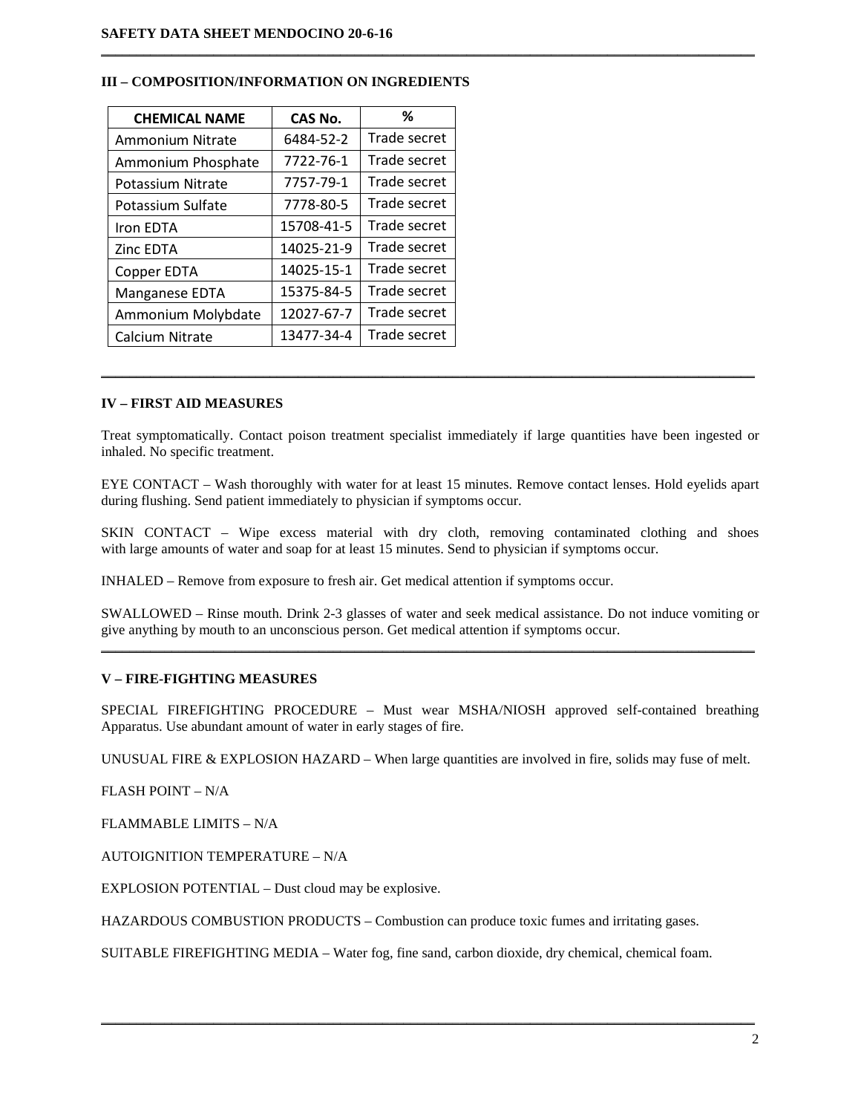| <b>CHEMICAL NAME</b>    | CAS No.    | %            |
|-------------------------|------------|--------------|
| <b>Ammonium Nitrate</b> | 6484-52-2  | Trade secret |
| Ammonium Phosphate      | 7722-76-1  | Trade secret |
| Potassium Nitrate       | 7757-79-1  | Trade secret |
| Potassium Sulfate       | 7778-80-5  | Trade secret |
| Iron EDTA               | 15708-41-5 | Trade secret |
| <b>Zinc EDTA</b>        | 14025-21-9 | Trade secret |
| Copper EDTA             | 14025-15-1 | Trade secret |
| Manganese EDTA          | 15375-84-5 | Trade secret |
| Ammonium Molybdate      | 12027-67-7 | Trade secret |
| <b>Calcium Nitrate</b>  | 13477-34-4 | Trade secret |

#### **III – COMPOSITION/INFORMATION ON INGREDIENTS**

## **IV – FIRST AID MEASURES**

Treat symptomatically. Contact poison treatment specialist immediately if large quantities have been ingested or inhaled. No specific treatment.

\_\_\_\_\_\_\_\_\_\_\_\_\_\_\_\_\_\_\_\_\_\_\_\_\_\_\_\_\_\_\_\_\_\_\_\_\_\_\_\_\_\_\_\_\_\_\_\_\_\_\_\_\_\_\_\_\_\_\_\_\_\_\_\_\_\_\_\_\_\_\_\_\_\_\_\_\_\_\_\_\_\_\_\_\_\_\_\_\_\_\_\_\_

 $\mathcal{L}_\mathcal{L} = \{ \mathcal{L}_\mathcal{L} = \{ \mathcal{L}_\mathcal{L} = \{ \mathcal{L}_\mathcal{L} = \{ \mathcal{L}_\mathcal{L} = \{ \mathcal{L}_\mathcal{L} = \{ \mathcal{L}_\mathcal{L} = \{ \mathcal{L}_\mathcal{L} = \{ \mathcal{L}_\mathcal{L} = \{ \mathcal{L}_\mathcal{L} = \{ \mathcal{L}_\mathcal{L} = \{ \mathcal{L}_\mathcal{L} = \{ \mathcal{L}_\mathcal{L} = \{ \mathcal{L}_\mathcal{L} = \{ \mathcal{L}_\mathcal{$ 

EYE CONTACT – Wash thoroughly with water for at least 15 minutes. Remove contact lenses. Hold eyelids apart during flushing. Send patient immediately to physician if symptoms occur.

SKIN CONTACT – Wipe excess material with dry cloth, removing contaminated clothing and shoes with large amounts of water and soap for at least 15 minutes. Send to physician if symptoms occur.

INHALED – Remove from exposure to fresh air. Get medical attention if symptoms occur.

SWALLOWED – Rinse mouth. Drink 2-3 glasses of water and seek medical assistance. Do not induce vomiting or give anything by mouth to an unconscious person. Get medical attention if symptoms occur. \_\_\_\_\_\_\_\_\_\_\_\_\_\_\_\_\_\_\_\_\_\_\_\_\_\_\_\_\_\_\_\_\_\_\_\_\_\_\_\_\_\_\_\_\_\_\_\_\_\_\_\_\_\_\_\_\_\_\_\_\_\_\_\_\_\_\_\_\_\_\_\_\_\_\_\_\_\_\_\_\_\_\_\_\_\_\_\_\_\_\_\_\_

#### **V – FIRE-FIGHTING MEASURES**

SPECIAL FIREFIGHTING PROCEDURE – Must wear MSHA/NIOSH approved self-contained breathing Apparatus. Use abundant amount of water in early stages of fire.

UNUSUAL FIRE & EXPLOSION HAZARD – When large quantities are involved in fire, solids may fuse of melt.

FLASH POINT – N/A

FLAMMABLE LIMITS – N/A

AUTOIGNITION TEMPERATURE – N/A

EXPLOSION POTENTIAL – Dust cloud may be explosive.

HAZARDOUS COMBUSTION PRODUCTS – Combustion can produce toxic fumes and irritating gases.

SUITABLE FIREFIGHTING MEDIA – Water fog, fine sand, carbon dioxide, dry chemical, chemical foam.

 $\mathcal{L}_\mathcal{L} = \{ \mathcal{L}_\mathcal{L} = \{ \mathcal{L}_\mathcal{L} = \{ \mathcal{L}_\mathcal{L} = \{ \mathcal{L}_\mathcal{L} = \{ \mathcal{L}_\mathcal{L} = \{ \mathcal{L}_\mathcal{L} = \{ \mathcal{L}_\mathcal{L} = \{ \mathcal{L}_\mathcal{L} = \{ \mathcal{L}_\mathcal{L} = \{ \mathcal{L}_\mathcal{L} = \{ \mathcal{L}_\mathcal{L} = \{ \mathcal{L}_\mathcal{L} = \{ \mathcal{L}_\mathcal{L} = \{ \mathcal{L}_\mathcal{$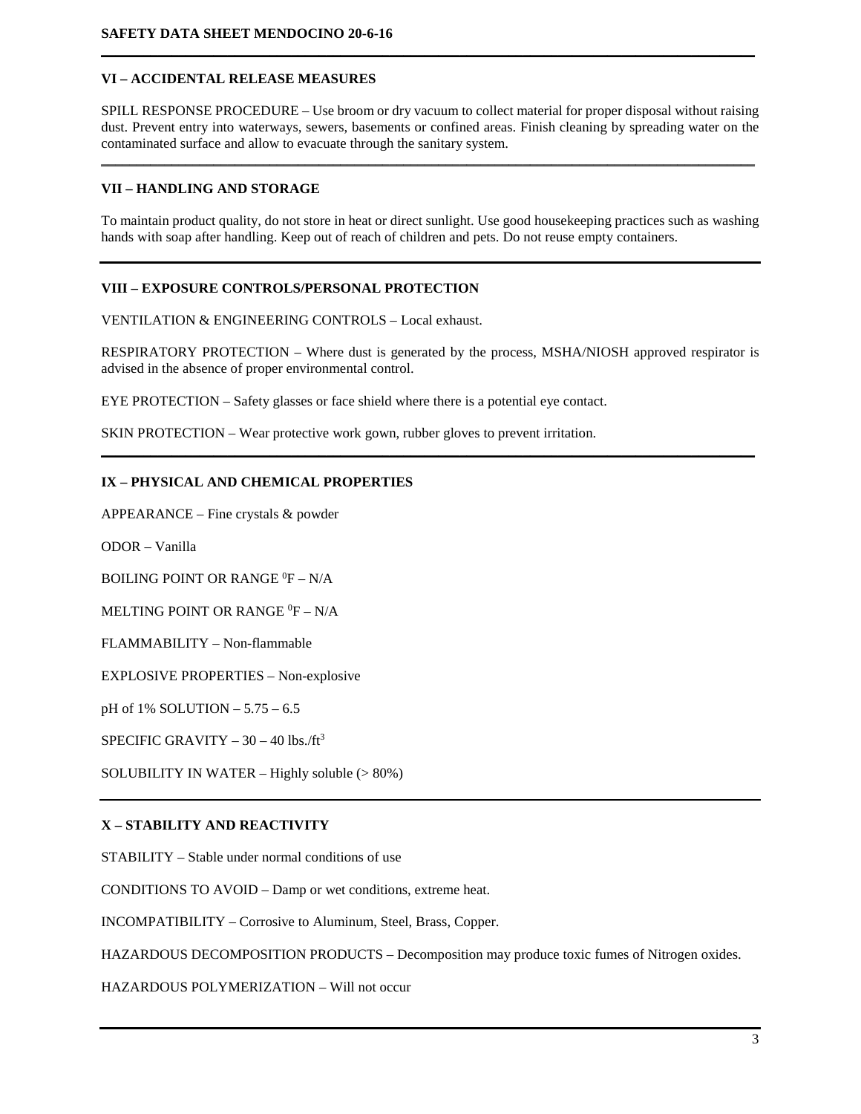# **VI – ACCIDENTAL RELEASE MEASURES**

SPILL RESPONSE PROCEDURE – Use broom or dry vacuum to collect material for proper disposal without raising dust. Prevent entry into waterways, sewers, basements or confined areas. Finish cleaning by spreading water on the contaminated surface and allow to evacuate through the sanitary system.

\_\_\_\_\_\_\_\_\_\_\_\_\_\_\_\_\_\_\_\_\_\_\_\_\_\_\_\_\_\_\_\_\_\_\_\_\_\_\_\_\_\_\_\_\_\_\_\_\_\_\_\_\_\_\_\_\_\_\_\_\_\_\_\_\_\_\_\_\_\_\_\_\_\_\_\_\_\_\_\_\_\_\_\_\_\_\_\_\_\_\_\_\_

**\_\_\_\_\_\_\_\_\_\_\_\_\_\_\_\_\_\_\_\_\_\_\_\_\_\_\_\_\_\_\_\_\_\_\_\_\_\_\_\_\_\_\_\_\_\_\_\_\_\_\_\_\_\_\_\_\_\_\_\_\_\_\_\_\_\_\_\_\_\_\_\_\_\_\_\_\_\_\_\_\_\_\_\_\_\_\_\_\_\_\_\_\_**

# **VII – HANDLING AND STORAGE**

To maintain product quality, do not store in heat or direct sunlight. Use good housekeeping practices such as washing hands with soap after handling. Keep out of reach of children and pets. Do not reuse empty containers.

# **VIII – EXPOSURE CONTROLS/PERSONAL PROTECTION**

VENTILATION & ENGINEERING CONTROLS – Local exhaust.

RESPIRATORY PROTECTION – Where dust is generated by the process, MSHA/NIOSH approved respirator is advised in the absence of proper environmental control.

**\_\_\_\_\_\_\_\_\_\_\_\_\_\_\_\_\_\_\_\_\_\_\_\_\_\_\_\_\_\_\_\_\_\_\_\_\_\_\_\_\_\_\_\_\_\_\_\_\_\_\_\_\_\_\_\_\_\_\_\_\_\_\_\_\_\_\_\_\_\_\_\_\_\_\_\_\_\_\_\_\_\_\_\_\_\_\_\_\_\_\_\_\_**

EYE PROTECTION – Safety glasses or face shield where there is a potential eye contact.

SKIN PROTECTION – Wear protective work gown, rubber gloves to prevent irritation.

## **IX – PHYSICAL AND CHEMICAL PROPERTIES**

APPEARANCE – Fine crystals & powder

ODOR – Vanilla

BOILING POINT OR RANGE <sup>0</sup>F – N/A

MELTING POINT OR RANGE  $^0\text{F}$  – N/A

FLAMMABILITY – Non-flammable

EXPLOSIVE PROPERTIES – Non-explosive

pH of 1% SOLUTION – 5.75 – 6.5

SPECIFIC GRAVITY  $-30 - 40$  lbs./ft<sup>3</sup>

SOLUBILITY IN WATER – Highly soluble (> 80%)

## **X – STABILITY AND REACTIVITY**

STABILITY – Stable under normal conditions of use

CONDITIONS TO AVOID – Damp or wet conditions, extreme heat.

INCOMPATIBILITY – Corrosive to Aluminum, Steel, Brass, Copper.

HAZARDOUS DECOMPOSITION PRODUCTS – Decomposition may produce toxic fumes of Nitrogen oxides.

HAZARDOUS POLYMERIZATION – Will not occur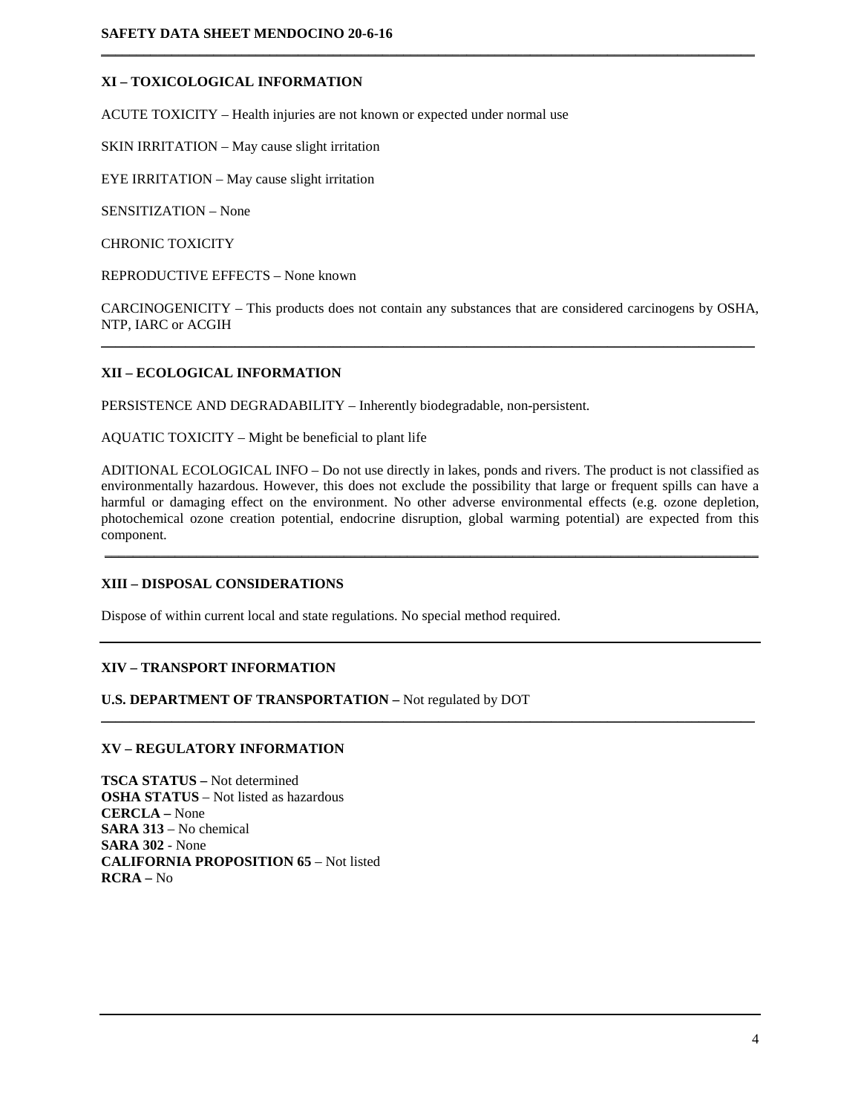#### **XI – TOXICOLOGICAL INFORMATION**

ACUTE TOXICITY – Health injuries are not known or expected under normal use

SKIN IRRITATION – May cause slight irritation

EYE IRRITATION – May cause slight irritation

SENSITIZATION – None

CHRONIC TOXICITY

REPRODUCTIVE EFFECTS – None known

CARCINOGENICITY – This products does not contain any substances that are considered carcinogens by OSHA, NTP, IARC or ACGIH  $\mathcal{L}_\mathcal{L} = \{ \mathcal{L}_\mathcal{L} = \{ \mathcal{L}_\mathcal{L} = \{ \mathcal{L}_\mathcal{L} = \{ \mathcal{L}_\mathcal{L} = \{ \mathcal{L}_\mathcal{L} = \{ \mathcal{L}_\mathcal{L} = \{ \mathcal{L}_\mathcal{L} = \{ \mathcal{L}_\mathcal{L} = \{ \mathcal{L}_\mathcal{L} = \{ \mathcal{L}_\mathcal{L} = \{ \mathcal{L}_\mathcal{L} = \{ \mathcal{L}_\mathcal{L} = \{ \mathcal{L}_\mathcal{L} = \{ \mathcal{L}_\mathcal{$ 

 $\mathcal{L}_\mathcal{L} = \{ \mathcal{L}_\mathcal{L} = \{ \mathcal{L}_\mathcal{L} = \{ \mathcal{L}_\mathcal{L} = \{ \mathcal{L}_\mathcal{L} = \{ \mathcal{L}_\mathcal{L} = \{ \mathcal{L}_\mathcal{L} = \{ \mathcal{L}_\mathcal{L} = \{ \mathcal{L}_\mathcal{L} = \{ \mathcal{L}_\mathcal{L} = \{ \mathcal{L}_\mathcal{L} = \{ \mathcal{L}_\mathcal{L} = \{ \mathcal{L}_\mathcal{L} = \{ \mathcal{L}_\mathcal{L} = \{ \mathcal{L}_\mathcal{$ 

## **XII – ECOLOGICAL INFORMATION**

PERSISTENCE AND DEGRADABILITY – Inherently biodegradable, non-persistent.

AQUATIC TOXICITY – Might be beneficial to plant life

ADITIONAL ECOLOGICAL INFO – Do not use directly in lakes, ponds and rivers. The product is not classified as environmentally hazardous. However, this does not exclude the possibility that large or frequent spills can have a harmful or damaging effect on the environment. No other adverse environmental effects (e.g. ozone depletion, photochemical ozone creation potential, endocrine disruption, global warming potential) are expected from this component.

\_\_\_\_\_\_\_\_\_\_\_\_\_\_\_\_\_\_\_\_\_\_\_\_\_\_\_\_\_\_\_\_\_\_\_\_\_\_\_\_\_\_\_\_\_\_\_\_\_\_\_\_\_\_\_\_\_\_\_\_\_\_\_\_\_\_\_\_\_\_\_\_\_\_\_\_\_\_\_\_\_\_\_\_\_\_\_\_\_\_\_\_\_

\_\_\_\_\_\_\_\_\_\_\_\_\_\_\_\_\_\_\_\_\_\_\_\_\_\_\_\_\_\_\_\_\_\_\_\_\_\_\_\_\_\_\_\_\_\_\_\_\_\_\_\_\_\_\_\_\_\_\_\_\_\_\_\_\_\_\_\_\_\_\_\_\_\_\_\_\_\_\_\_\_\_\_\_\_\_\_\_\_\_\_\_\_

#### **XIII – DISPOSAL CONSIDERATIONS**

Dispose of within current local and state regulations. No special method required.

#### **XIV – TRANSPORT INFORMATION**

**U.S. DEPARTMENT OF TRANSPORTATION –** Not regulated by DOT

#### **XV – REGULATORY INFORMATION**

**TSCA STATUS –** Not determined **OSHA STATUS** – Not listed as hazardous **CERCLA –** None **SARA 313** – No chemical **SARA 302** - None **CALIFORNIA PROPOSITION 65** – Not listed **RCRA –** No